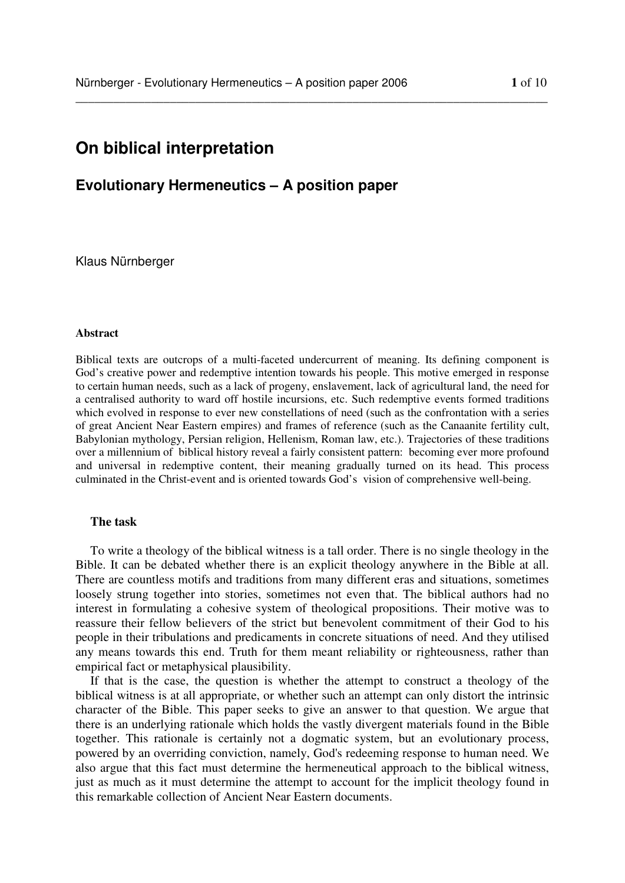# **On biblical interpretation**

## **Evolutionary Hermeneutics – A position paper**

Klaus Nürnberger

## **Abstract**

Biblical texts are outcrops of a multi-faceted undercurrent of meaning. Its defining component is God's creative power and redemptive intention towards his people. This motive emerged in response to certain human needs, such as a lack of progeny, enslavement, lack of agricultural land, the need for a centralised authority to ward off hostile incursions, etc. Such redemptive events formed traditions which evolved in response to ever new constellations of need (such as the confrontation with a series of great Ancient Near Eastern empires) and frames of reference (such as the Canaanite fertility cult, Babylonian mythology, Persian religion, Hellenism, Roman law, etc.). Trajectories of these traditions over a millennium of biblical history reveal a fairly consistent pattern: becoming ever more profound and universal in redemptive content, their meaning gradually turned on its head. This process culminated in the Christ-event and is oriented towards God's vision of comprehensive well-being.

\_\_\_\_\_\_\_\_\_\_\_\_\_\_\_\_\_\_\_\_\_\_\_\_\_\_\_\_\_\_\_\_\_\_\_\_\_\_\_\_\_\_\_\_\_\_\_\_\_\_\_\_\_\_\_\_\_\_\_\_\_\_\_\_\_\_\_\_\_\_\_\_\_\_\_

## **The task**

To write a theology of the biblical witness is a tall order. There is no single theology in the Bible. It can be debated whether there is an explicit theology anywhere in the Bible at all. There are countless motifs and traditions from many different eras and situations, sometimes loosely strung together into stories, sometimes not even that. The biblical authors had no interest in formulating a cohesive system of theological propositions. Their motive was to reassure their fellow believers of the strict but benevolent commitment of their God to his people in their tribulations and predicaments in concrete situations of need. And they utilised any means towards this end. Truth for them meant reliability or righteousness, rather than empirical fact or metaphysical plausibility.

If that is the case, the question is whether the attempt to construct a theology of the biblical witness is at all appropriate, or whether such an attempt can only distort the intrinsic character of the Bible. This paper seeks to give an answer to that question. We argue that there is an underlying rationale which holds the vastly divergent materials found in the Bible together. This rationale is certainly not a dogmatic system, but an evolutionary process, powered by an overriding conviction, namely, God's redeeming response to human need. We also argue that this fact must determine the hermeneutical approach to the biblical witness, just as much as it must determine the attempt to account for the implicit theology found in this remarkable collection of Ancient Near Eastern documents.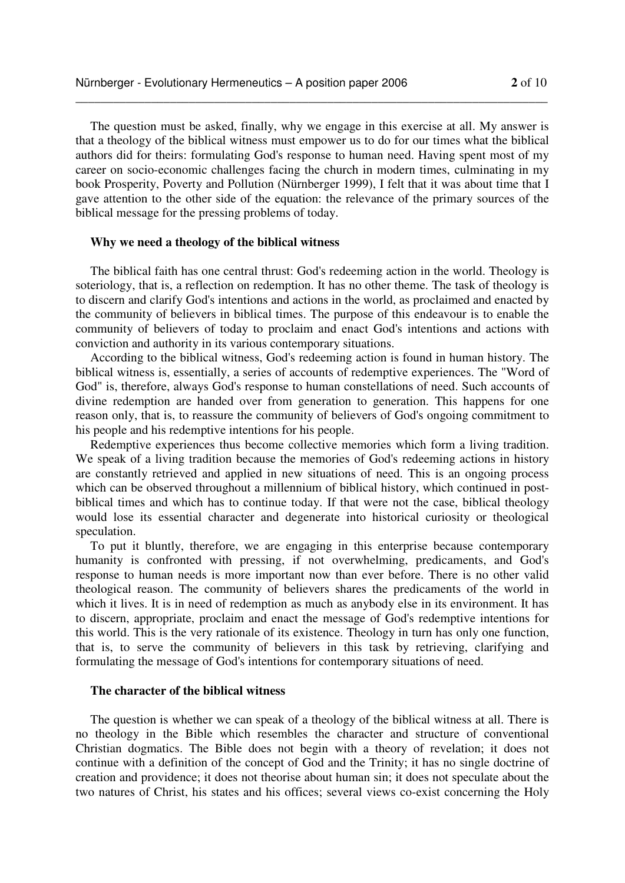The question must be asked, finally, why we engage in this exercise at all. My answer is that a theology of the biblical witness must empower us to do for our times what the biblical authors did for theirs: formulating God's response to human need. Having spent most of my career on socio-economic challenges facing the church in modern times, culminating in my book Prosperity, Poverty and Pollution (Nürnberger 1999), I felt that it was about time that I gave attention to the other side of the equation: the relevance of the primary sources of the biblical message for the pressing problems of today.

\_\_\_\_\_\_\_\_\_\_\_\_\_\_\_\_\_\_\_\_\_\_\_\_\_\_\_\_\_\_\_\_\_\_\_\_\_\_\_\_\_\_\_\_\_\_\_\_\_\_\_\_\_\_\_\_\_\_\_\_\_\_\_\_\_\_\_\_\_\_\_\_\_\_\_

## **Why we need a theology of the biblical witness**

The biblical faith has one central thrust: God's redeeming action in the world. Theology is soteriology, that is, a reflection on redemption. It has no other theme. The task of theology is to discern and clarify God's intentions and actions in the world, as proclaimed and enacted by the community of believers in biblical times. The purpose of this endeavour is to enable the community of believers of today to proclaim and enact God's intentions and actions with conviction and authority in its various contemporary situations.

According to the biblical witness, God's redeeming action is found in human history. The biblical witness is, essentially, a series of accounts of redemptive experiences. The "Word of God" is, therefore, always God's response to human constellations of need. Such accounts of divine redemption are handed over from generation to generation. This happens for one reason only, that is, to reassure the community of believers of God's ongoing commitment to his people and his redemptive intentions for his people.

Redemptive experiences thus become collective memories which form a living tradition. We speak of a living tradition because the memories of God's redeeming actions in history are constantly retrieved and applied in new situations of need. This is an ongoing process which can be observed throughout a millennium of biblical history, which continued in postbiblical times and which has to continue today. If that were not the case, biblical theology would lose its essential character and degenerate into historical curiosity or theological speculation.

To put it bluntly, therefore, we are engaging in this enterprise because contemporary humanity is confronted with pressing, if not overwhelming, predicaments, and God's response to human needs is more important now than ever before. There is no other valid theological reason. The community of believers shares the predicaments of the world in which it lives. It is in need of redemption as much as anybody else in its environment. It has to discern, appropriate, proclaim and enact the message of God's redemptive intentions for this world. This is the very rationale of its existence. Theology in turn has only one function, that is, to serve the community of believers in this task by retrieving, clarifying and formulating the message of God's intentions for contemporary situations of need.

### **The character of the biblical witness**

The question is whether we can speak of a theology of the biblical witness at all. There is no theology in the Bible which resembles the character and structure of conventional Christian dogmatics. The Bible does not begin with a theory of revelation; it does not continue with a definition of the concept of God and the Trinity; it has no single doctrine of creation and providence; it does not theorise about human sin; it does not speculate about the two natures of Christ, his states and his offices; several views co-exist concerning the Holy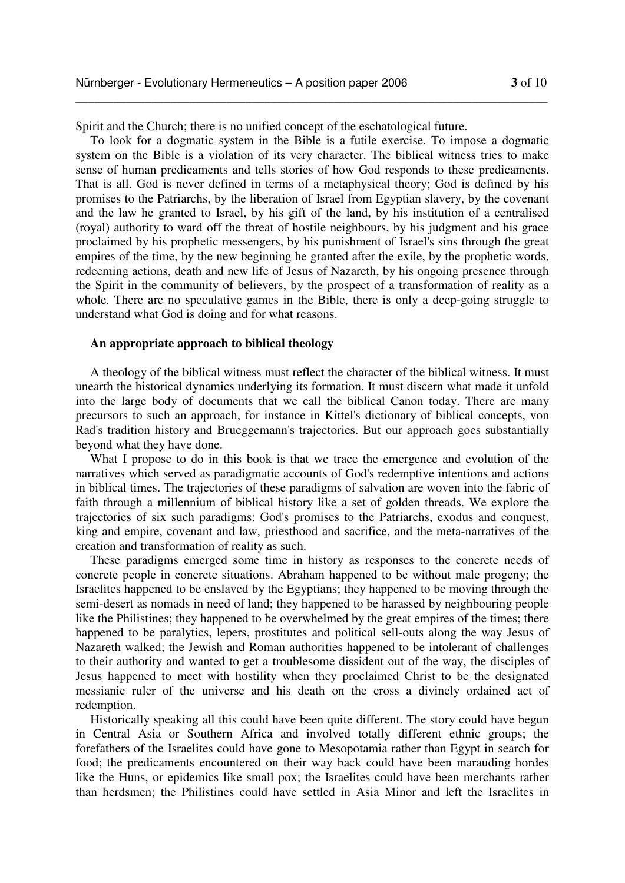Spirit and the Church; there is no unified concept of the eschatological future.

To look for a dogmatic system in the Bible is a futile exercise. To impose a dogmatic system on the Bible is a violation of its very character. The biblical witness tries to make sense of human predicaments and tells stories of how God responds to these predicaments. That is all. God is never defined in terms of a metaphysical theory; God is defined by his promises to the Patriarchs, by the liberation of Israel from Egyptian slavery, by the covenant and the law he granted to Israel, by his gift of the land, by his institution of a centralised (royal) authority to ward off the threat of hostile neighbours, by his judgment and his grace proclaimed by his prophetic messengers, by his punishment of Israel's sins through the great empires of the time, by the new beginning he granted after the exile, by the prophetic words, redeeming actions, death and new life of Jesus of Nazareth, by his ongoing presence through the Spirit in the community of believers, by the prospect of a transformation of reality as a whole. There are no speculative games in the Bible, there is only a deep-going struggle to understand what God is doing and for what reasons.

\_\_\_\_\_\_\_\_\_\_\_\_\_\_\_\_\_\_\_\_\_\_\_\_\_\_\_\_\_\_\_\_\_\_\_\_\_\_\_\_\_\_\_\_\_\_\_\_\_\_\_\_\_\_\_\_\_\_\_\_\_\_\_\_\_\_\_\_\_\_\_\_\_\_\_

## **An appropriate approach to biblical theology**

A theology of the biblical witness must reflect the character of the biblical witness. It must unearth the historical dynamics underlying its formation. It must discern what made it unfold into the large body of documents that we call the biblical Canon today. There are many precursors to such an approach, for instance in Kittel's dictionary of biblical concepts, von Rad's tradition history and Brueggemann's trajectories. But our approach goes substantially beyond what they have done.

What I propose to do in this book is that we trace the emergence and evolution of the narratives which served as paradigmatic accounts of God's redemptive intentions and actions in biblical times. The trajectories of these paradigms of salvation are woven into the fabric of faith through a millennium of biblical history like a set of golden threads. We explore the trajectories of six such paradigms: God's promises to the Patriarchs, exodus and conquest, king and empire, covenant and law, priesthood and sacrifice, and the meta-narratives of the creation and transformation of reality as such.

These paradigms emerged some time in history as responses to the concrete needs of concrete people in concrete situations. Abraham happened to be without male progeny; the Israelites happened to be enslaved by the Egyptians; they happened to be moving through the semi-desert as nomads in need of land; they happened to be harassed by neighbouring people like the Philistines; they happened to be overwhelmed by the great empires of the times; there happened to be paralytics, lepers, prostitutes and political sell-outs along the way Jesus of Nazareth walked; the Jewish and Roman authorities happened to be intolerant of challenges to their authority and wanted to get a troublesome dissident out of the way, the disciples of Jesus happened to meet with hostility when they proclaimed Christ to be the designated messianic ruler of the universe and his death on the cross a divinely ordained act of redemption.

Historically speaking all this could have been quite different. The story could have begun in Central Asia or Southern Africa and involved totally different ethnic groups; the forefathers of the Israelites could have gone to Mesopotamia rather than Egypt in search for food; the predicaments encountered on their way back could have been marauding hordes like the Huns, or epidemics like small pox; the Israelites could have been merchants rather than herdsmen; the Philistines could have settled in Asia Minor and left the Israelites in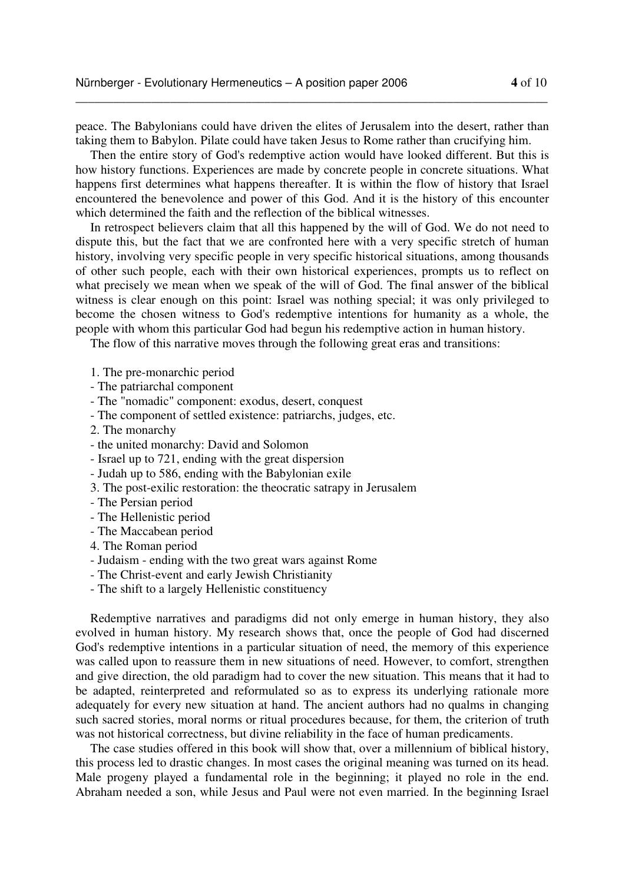peace. The Babylonians could have driven the elites of Jerusalem into the desert, rather than taking them to Babylon. Pilate could have taken Jesus to Rome rather than crucifying him.

\_\_\_\_\_\_\_\_\_\_\_\_\_\_\_\_\_\_\_\_\_\_\_\_\_\_\_\_\_\_\_\_\_\_\_\_\_\_\_\_\_\_\_\_\_\_\_\_\_\_\_\_\_\_\_\_\_\_\_\_\_\_\_\_\_\_\_\_\_\_\_\_\_\_\_

Then the entire story of God's redemptive action would have looked different. But this is how history functions. Experiences are made by concrete people in concrete situations. What happens first determines what happens thereafter. It is within the flow of history that Israel encountered the benevolence and power of this God. And it is the history of this encounter which determined the faith and the reflection of the biblical witnesses.

In retrospect believers claim that all this happened by the will of God. We do not need to dispute this, but the fact that we are confronted here with a very specific stretch of human history, involving very specific people in very specific historical situations, among thousands of other such people, each with their own historical experiences, prompts us to reflect on what precisely we mean when we speak of the will of God. The final answer of the biblical witness is clear enough on this point: Israel was nothing special; it was only privileged to become the chosen witness to God's redemptive intentions for humanity as a whole, the people with whom this particular God had begun his redemptive action in human history.

The flow of this narrative moves through the following great eras and transitions:

- 1. The pre-monarchic period
- The patriarchal component
- The "nomadic" component: exodus, desert, conquest
- The component of settled existence: patriarchs, judges, etc.
- 2. The monarchy
- the united monarchy: David and Solomon
- Israel up to 721, ending with the great dispersion
- Judah up to 586, ending with the Babylonian exile
- 3. The post-exilic restoration: the theocratic satrapy in Jerusalem
- The Persian period
- The Hellenistic period
- The Maccabean period
- 4. The Roman period
- Judaism ending with the two great wars against Rome
- The Christ-event and early Jewish Christianity
- The shift to a largely Hellenistic constituency

Redemptive narratives and paradigms did not only emerge in human history, they also evolved in human history. My research shows that, once the people of God had discerned God's redemptive intentions in a particular situation of need, the memory of this experience was called upon to reassure them in new situations of need. However, to comfort, strengthen and give direction, the old paradigm had to cover the new situation. This means that it had to be adapted, reinterpreted and reformulated so as to express its underlying rationale more adequately for every new situation at hand. The ancient authors had no qualms in changing such sacred stories, moral norms or ritual procedures because, for them, the criterion of truth was not historical correctness, but divine reliability in the face of human predicaments.

The case studies offered in this book will show that, over a millennium of biblical history, this process led to drastic changes. In most cases the original meaning was turned on its head. Male progeny played a fundamental role in the beginning; it played no role in the end. Abraham needed a son, while Jesus and Paul were not even married. In the beginning Israel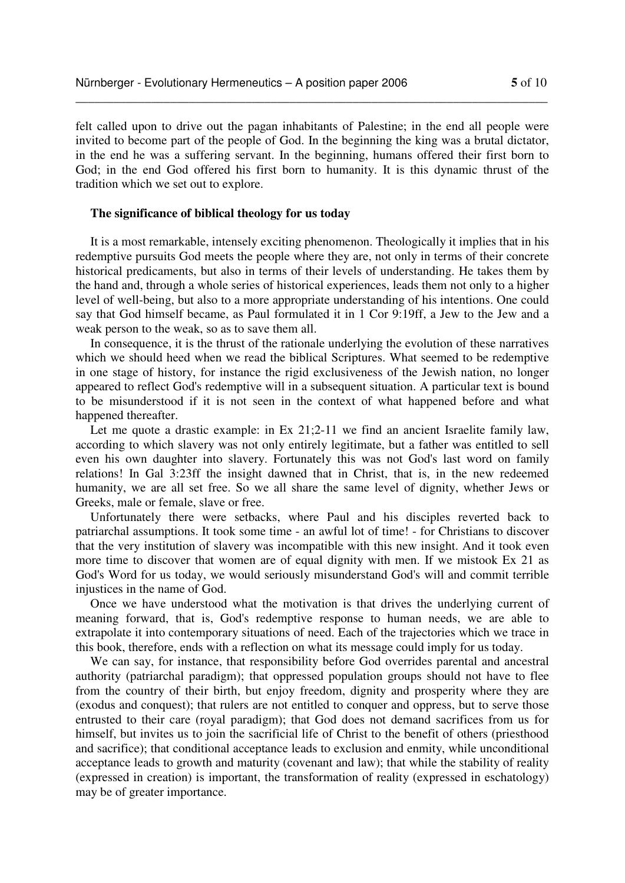felt called upon to drive out the pagan inhabitants of Palestine; in the end all people were invited to become part of the people of God. In the beginning the king was a brutal dictator, in the end he was a suffering servant. In the beginning, humans offered their first born to God; in the end God offered his first born to humanity. It is this dynamic thrust of the tradition which we set out to explore.

\_\_\_\_\_\_\_\_\_\_\_\_\_\_\_\_\_\_\_\_\_\_\_\_\_\_\_\_\_\_\_\_\_\_\_\_\_\_\_\_\_\_\_\_\_\_\_\_\_\_\_\_\_\_\_\_\_\_\_\_\_\_\_\_\_\_\_\_\_\_\_\_\_\_\_

## **The significance of biblical theology for us today**

It is a most remarkable, intensely exciting phenomenon. Theologically it implies that in his redemptive pursuits God meets the people where they are, not only in terms of their concrete historical predicaments, but also in terms of their levels of understanding. He takes them by the hand and, through a whole series of historical experiences, leads them not only to a higher level of well-being, but also to a more appropriate understanding of his intentions. One could say that God himself became, as Paul formulated it in 1 Cor 9:19ff, a Jew to the Jew and a weak person to the weak, so as to save them all.

In consequence, it is the thrust of the rationale underlying the evolution of these narratives which we should heed when we read the biblical Scriptures. What seemed to be redemptive in one stage of history, for instance the rigid exclusiveness of the Jewish nation, no longer appeared to reflect God's redemptive will in a subsequent situation. A particular text is bound to be misunderstood if it is not seen in the context of what happened before and what happened thereafter.

Let me quote a drastic example: in Ex 21;2-11 we find an ancient Israelite family law, according to which slavery was not only entirely legitimate, but a father was entitled to sell even his own daughter into slavery. Fortunately this was not God's last word on family relations! In Gal 3:23ff the insight dawned that in Christ, that is, in the new redeemed humanity, we are all set free. So we all share the same level of dignity, whether Jews or Greeks, male or female, slave or free.

Unfortunately there were setbacks, where Paul and his disciples reverted back to patriarchal assumptions. It took some time - an awful lot of time! - for Christians to discover that the very institution of slavery was incompatible with this new insight. And it took even more time to discover that women are of equal dignity with men. If we mistook Ex 21 as God's Word for us today, we would seriously misunderstand God's will and commit terrible injustices in the name of God.

Once we have understood what the motivation is that drives the underlying current of meaning forward, that is, God's redemptive response to human needs, we are able to extrapolate it into contemporary situations of need. Each of the trajectories which we trace in this book, therefore, ends with a reflection on what its message could imply for us today.

We can say, for instance, that responsibility before God overrides parental and ancestral authority (patriarchal paradigm); that oppressed population groups should not have to flee from the country of their birth, but enjoy freedom, dignity and prosperity where they are (exodus and conquest); that rulers are not entitled to conquer and oppress, but to serve those entrusted to their care (royal paradigm); that God does not demand sacrifices from us for himself, but invites us to join the sacrificial life of Christ to the benefit of others (priesthood and sacrifice); that conditional acceptance leads to exclusion and enmity, while unconditional acceptance leads to growth and maturity (covenant and law); that while the stability of reality (expressed in creation) is important, the transformation of reality (expressed in eschatology) may be of greater importance.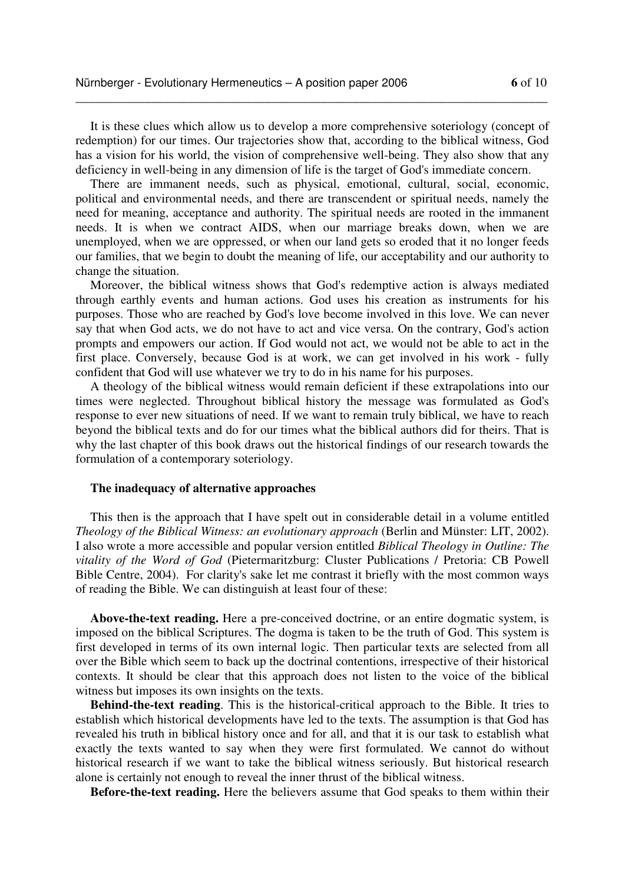It is these clues which allow us to develop a more comprehensive soteriology (concept of redemption) for our times. Our trajectories show that, according to the biblical witness, God has a vision for his world, the vision of comprehensive well-being. They also show that any deficiency in well-being in any dimension of life is the target of God's immediate concern.

\_\_\_\_\_\_\_\_\_\_\_\_\_\_\_\_\_\_\_\_\_\_\_\_\_\_\_\_\_\_\_\_\_\_\_\_\_\_\_\_\_\_\_\_\_\_\_\_\_\_\_\_\_\_\_\_\_\_\_\_\_\_\_\_\_\_\_\_\_\_\_\_\_\_\_

There are immanent needs, such as physical, emotional, cultural, social, economic, political and environmental needs, and there are transcendent or spiritual needs, namely the need for meaning, acceptance and authority. The spiritual needs are rooted in the immanent needs. It is when we contract AIDS, when our marriage breaks down, when we are unemployed, when we are oppressed, or when our land gets so eroded that it no longer feeds our families, that we begin to doubt the meaning of life, our acceptability and our authority to change the situation.

Moreover, the biblical witness shows that God's redemptive action is always mediated through earthly events and human actions. God uses his creation as instruments for his purposes. Those who are reached by God's love become involved in this love. We can never say that when God acts, we do not have to act and vice versa. On the contrary, God's action prompts and empowers our action. If God would not act, we would not be able to act in the first place. Conversely, because God is at work, we can get involved in his work - fully confident that God will use whatever we try to do in his name for his purposes.

A theology of the biblical witness would remain deficient if these extrapolations into our times were neglected. Throughout biblical history the message was formulated as God's response to ever new situations of need. If we want to remain truly biblical, we have to reach beyond the biblical texts and do for our times what the biblical authors did for theirs. That is why the last chapter of this book draws out the historical findings of our research towards the formulation of a contemporary soteriology.

#### **The inadequacy of alternative approaches**

This then is the approach that I have spelt out in considerable detail in a volume entitled *Theology of the Biblical Witness: an evolutionary approach* (Berlin and Münster: LIT, 2002). I also wrote a more accessible and popular version entitled *Biblical Theology in Outline: The vitality of the Word of God* (Pietermaritzburg: Cluster Publications / Pretoria: CB Powell Bible Centre, 2004). For clarity's sake let me contrast it briefly with the most common ways of reading the Bible. We can distinguish at least four of these:

**Above-the-text reading.** Here a pre-conceived doctrine, or an entire dogmatic system, is imposed on the biblical Scriptures. The dogma is taken to be the truth of God. This system is first developed in terms of its own internal logic. Then particular texts are selected from all over the Bible which seem to back up the doctrinal contentions, irrespective of their historical contexts. It should be clear that this approach does not listen to the voice of the biblical witness but imposes its own insights on the texts.

**Behind-the-text reading**. This is the historical-critical approach to the Bible. It tries to establish which historical developments have led to the texts. The assumption is that God has revealed his truth in biblical history once and for all, and that it is our task to establish what exactly the texts wanted to say when they were first formulated. We cannot do without historical research if we want to take the biblical witness seriously. But historical research alone is certainly not enough to reveal the inner thrust of the biblical witness.

**Before-the-text reading.** Here the believers assume that God speaks to them within their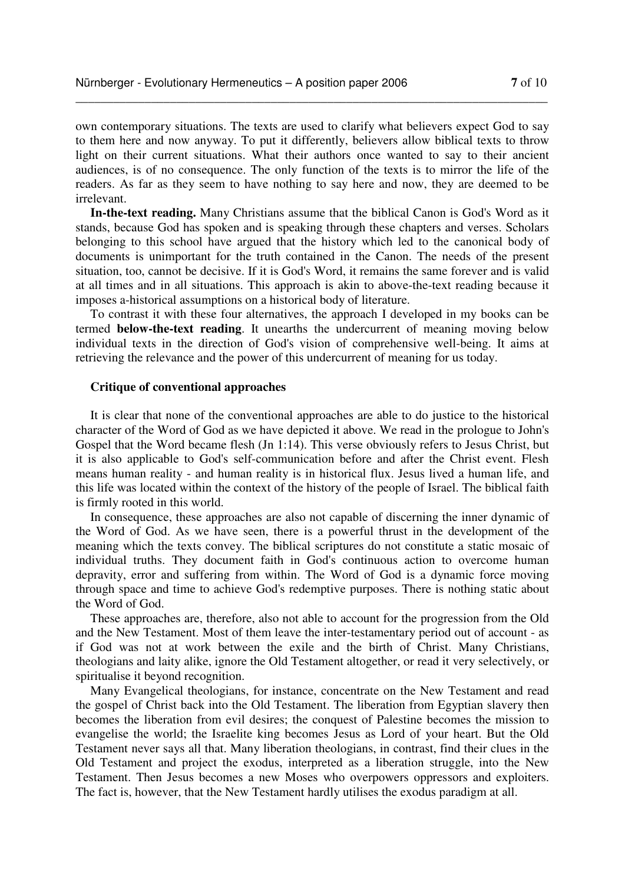own contemporary situations. The texts are used to clarify what believers expect God to say to them here and now anyway. To put it differently, believers allow biblical texts to throw light on their current situations. What their authors once wanted to say to their ancient audiences, is of no consequence. The only function of the texts is to mirror the life of the readers. As far as they seem to have nothing to say here and now, they are deemed to be irrelevant.

\_\_\_\_\_\_\_\_\_\_\_\_\_\_\_\_\_\_\_\_\_\_\_\_\_\_\_\_\_\_\_\_\_\_\_\_\_\_\_\_\_\_\_\_\_\_\_\_\_\_\_\_\_\_\_\_\_\_\_\_\_\_\_\_\_\_\_\_\_\_\_\_\_\_\_

**In-the-text reading.** Many Christians assume that the biblical Canon is God's Word as it stands, because God has spoken and is speaking through these chapters and verses. Scholars belonging to this school have argued that the history which led to the canonical body of documents is unimportant for the truth contained in the Canon. The needs of the present situation, too, cannot be decisive. If it is God's Word, it remains the same forever and is valid at all times and in all situations. This approach is akin to above-the-text reading because it imposes a-historical assumptions on a historical body of literature.

To contrast it with these four alternatives, the approach I developed in my books can be termed **below-the-text reading**. It unearths the undercurrent of meaning moving below individual texts in the direction of God's vision of comprehensive well-being. It aims at retrieving the relevance and the power of this undercurrent of meaning for us today.

## **Critique of conventional approaches**

It is clear that none of the conventional approaches are able to do justice to the historical character of the Word of God as we have depicted it above. We read in the prologue to John's Gospel that the Word became flesh (Jn 1:14). This verse obviously refers to Jesus Christ, but it is also applicable to God's self-communication before and after the Christ event. Flesh means human reality - and human reality is in historical flux. Jesus lived a human life, and this life was located within the context of the history of the people of Israel. The biblical faith is firmly rooted in this world.

In consequence, these approaches are also not capable of discerning the inner dynamic of the Word of God. As we have seen, there is a powerful thrust in the development of the meaning which the texts convey. The biblical scriptures do not constitute a static mosaic of individual truths. They document faith in God's continuous action to overcome human depravity, error and suffering from within. The Word of God is a dynamic force moving through space and time to achieve God's redemptive purposes. There is nothing static about the Word of God.

These approaches are, therefore, also not able to account for the progression from the Old and the New Testament. Most of them leave the inter-testamentary period out of account - as if God was not at work between the exile and the birth of Christ. Many Christians, theologians and laity alike, ignore the Old Testament altogether, or read it very selectively, or spiritualise it beyond recognition.

Many Evangelical theologians, for instance, concentrate on the New Testament and read the gospel of Christ back into the Old Testament. The liberation from Egyptian slavery then becomes the liberation from evil desires; the conquest of Palestine becomes the mission to evangelise the world; the Israelite king becomes Jesus as Lord of your heart. But the Old Testament never says all that. Many liberation theologians, in contrast, find their clues in the Old Testament and project the exodus, interpreted as a liberation struggle, into the New Testament. Then Jesus becomes a new Moses who overpowers oppressors and exploiters. The fact is, however, that the New Testament hardly utilises the exodus paradigm at all.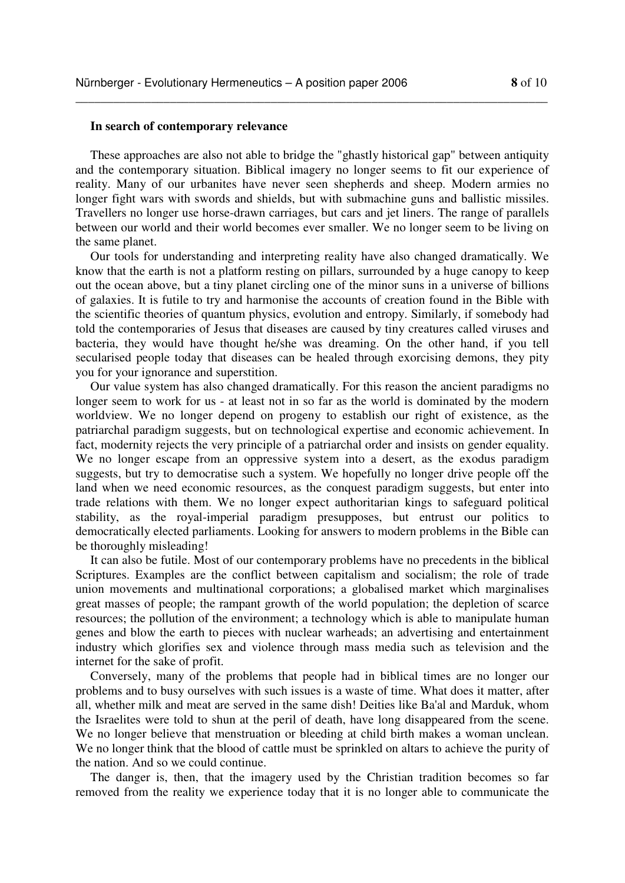## **In search of contemporary relevance**

These approaches are also not able to bridge the "ghastly historical gap" between antiquity and the contemporary situation. Biblical imagery no longer seems to fit our experience of reality. Many of our urbanites have never seen shepherds and sheep. Modern armies no longer fight wars with swords and shields, but with submachine guns and ballistic missiles. Travellers no longer use horse-drawn carriages, but cars and jet liners. The range of parallels between our world and their world becomes ever smaller. We no longer seem to be living on the same planet.

\_\_\_\_\_\_\_\_\_\_\_\_\_\_\_\_\_\_\_\_\_\_\_\_\_\_\_\_\_\_\_\_\_\_\_\_\_\_\_\_\_\_\_\_\_\_\_\_\_\_\_\_\_\_\_\_\_\_\_\_\_\_\_\_\_\_\_\_\_\_\_\_\_\_\_

Our tools for understanding and interpreting reality have also changed dramatically. We know that the earth is not a platform resting on pillars, surrounded by a huge canopy to keep out the ocean above, but a tiny planet circling one of the minor suns in a universe of billions of galaxies. It is futile to try and harmonise the accounts of creation found in the Bible with the scientific theories of quantum physics, evolution and entropy. Similarly, if somebody had told the contemporaries of Jesus that diseases are caused by tiny creatures called viruses and bacteria, they would have thought he/she was dreaming. On the other hand, if you tell secularised people today that diseases can be healed through exorcising demons, they pity you for your ignorance and superstition.

Our value system has also changed dramatically. For this reason the ancient paradigms no longer seem to work for us - at least not in so far as the world is dominated by the modern worldview. We no longer depend on progeny to establish our right of existence, as the patriarchal paradigm suggests, but on technological expertise and economic achievement. In fact, modernity rejects the very principle of a patriarchal order and insists on gender equality. We no longer escape from an oppressive system into a desert, as the exodus paradigm suggests, but try to democratise such a system. We hopefully no longer drive people off the land when we need economic resources, as the conquest paradigm suggests, but enter into trade relations with them. We no longer expect authoritarian kings to safeguard political stability, as the royal-imperial paradigm presupposes, but entrust our politics to democratically elected parliaments. Looking for answers to modern problems in the Bible can be thoroughly misleading!

It can also be futile. Most of our contemporary problems have no precedents in the biblical Scriptures. Examples are the conflict between capitalism and socialism; the role of trade union movements and multinational corporations; a globalised market which marginalises great masses of people; the rampant growth of the world population; the depletion of scarce resources; the pollution of the environment; a technology which is able to manipulate human genes and blow the earth to pieces with nuclear warheads; an advertising and entertainment industry which glorifies sex and violence through mass media such as television and the internet for the sake of profit.

Conversely, many of the problems that people had in biblical times are no longer our problems and to busy ourselves with such issues is a waste of time. What does it matter, after all, whether milk and meat are served in the same dish! Deities like Ba'al and Marduk, whom the Israelites were told to shun at the peril of death, have long disappeared from the scene. We no longer believe that menstruation or bleeding at child birth makes a woman unclean. We no longer think that the blood of cattle must be sprinkled on altars to achieve the purity of the nation. And so we could continue.

The danger is, then, that the imagery used by the Christian tradition becomes so far removed from the reality we experience today that it is no longer able to communicate the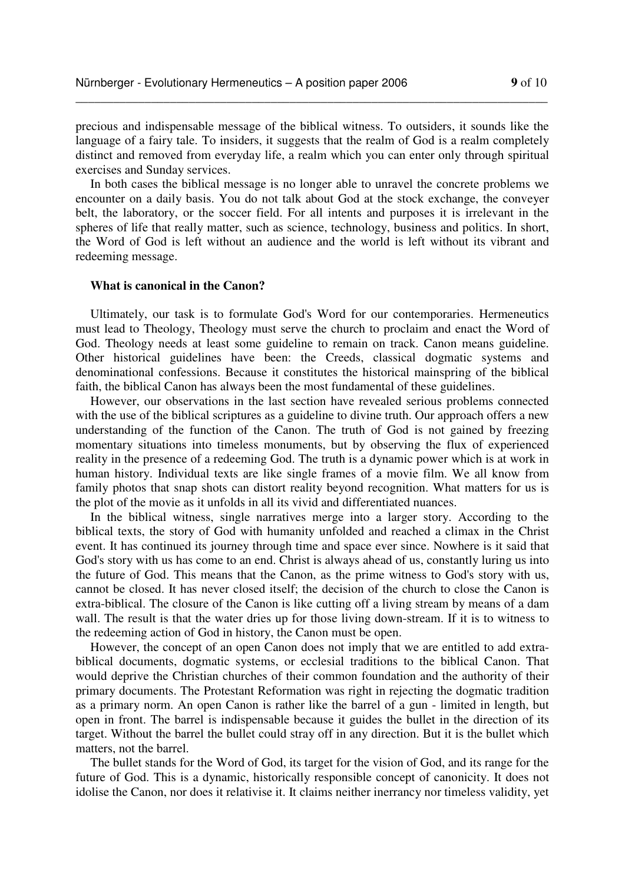\_\_\_\_\_\_\_\_\_\_\_\_\_\_\_\_\_\_\_\_\_\_\_\_\_\_\_\_\_\_\_\_\_\_\_\_\_\_\_\_\_\_\_\_\_\_\_\_\_\_\_\_\_\_\_\_\_\_\_\_\_\_\_\_\_\_\_\_\_\_\_\_\_\_\_

precious and indispensable message of the biblical witness. To outsiders, it sounds like the language of a fairy tale. To insiders, it suggests that the realm of God is a realm completely distinct and removed from everyday life, a realm which you can enter only through spiritual exercises and Sunday services.

In both cases the biblical message is no longer able to unravel the concrete problems we encounter on a daily basis. You do not talk about God at the stock exchange, the conveyer belt, the laboratory, or the soccer field. For all intents and purposes it is irrelevant in the spheres of life that really matter, such as science, technology, business and politics. In short, the Word of God is left without an audience and the world is left without its vibrant and redeeming message.

## **What is canonical in the Canon?**

Ultimately, our task is to formulate God's Word for our contemporaries. Hermeneutics must lead to Theology, Theology must serve the church to proclaim and enact the Word of God. Theology needs at least some guideline to remain on track. Canon means guideline. Other historical guidelines have been: the Creeds, classical dogmatic systems and denominational confessions. Because it constitutes the historical mainspring of the biblical faith, the biblical Canon has always been the most fundamental of these guidelines.

However, our observations in the last section have revealed serious problems connected with the use of the biblical scriptures as a guideline to divine truth. Our approach offers a new understanding of the function of the Canon. The truth of God is not gained by freezing momentary situations into timeless monuments, but by observing the flux of experienced reality in the presence of a redeeming God. The truth is a dynamic power which is at work in human history. Individual texts are like single frames of a movie film. We all know from family photos that snap shots can distort reality beyond recognition. What matters for us is the plot of the movie as it unfolds in all its vivid and differentiated nuances.

In the biblical witness, single narratives merge into a larger story. According to the biblical texts, the story of God with humanity unfolded and reached a climax in the Christ event. It has continued its journey through time and space ever since. Nowhere is it said that God's story with us has come to an end. Christ is always ahead of us, constantly luring us into the future of God. This means that the Canon, as the prime witness to God's story with us, cannot be closed. It has never closed itself; the decision of the church to close the Canon is extra-biblical. The closure of the Canon is like cutting off a living stream by means of a dam wall. The result is that the water dries up for those living down-stream. If it is to witness to the redeeming action of God in history, the Canon must be open.

However, the concept of an open Canon does not imply that we are entitled to add extrabiblical documents, dogmatic systems, or ecclesial traditions to the biblical Canon. That would deprive the Christian churches of their common foundation and the authority of their primary documents. The Protestant Reformation was right in rejecting the dogmatic tradition as a primary norm. An open Canon is rather like the barrel of a gun - limited in length, but open in front. The barrel is indispensable because it guides the bullet in the direction of its target. Without the barrel the bullet could stray off in any direction. But it is the bullet which matters, not the barrel.

The bullet stands for the Word of God, its target for the vision of God, and its range for the future of God. This is a dynamic, historically responsible concept of canonicity. It does not idolise the Canon, nor does it relativise it. It claims neither inerrancy nor timeless validity, yet